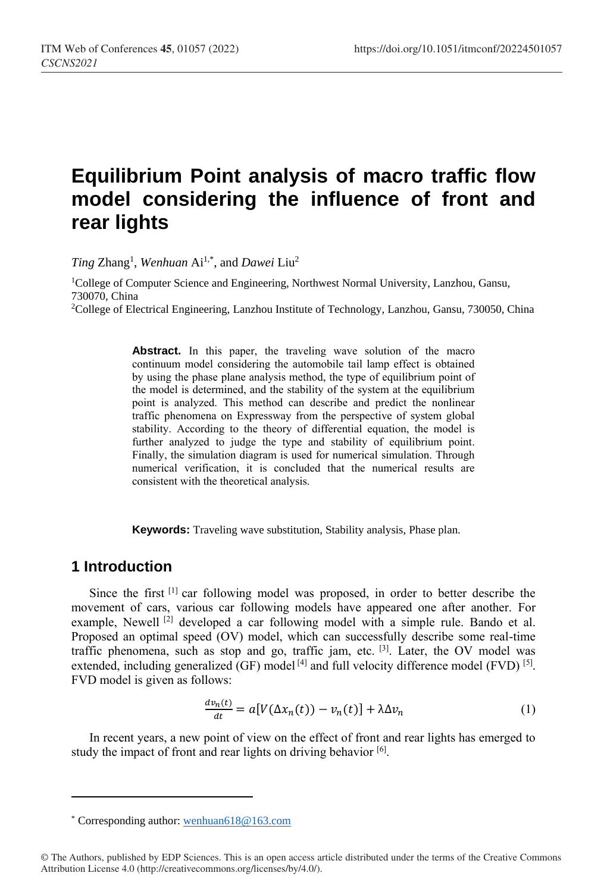# **Equilibrium Point analysis of macro traffic flow model considering the influence of front and rear lights**

*Ting* Zhang<sup>1</sup> , *Wenhuan* Ai1,\* , and *Dawei* Liu<sup>2</sup>

<sup>1</sup>College of Computer Science and Engineering, Northwest Normal University, Lanzhou, Gansu, 730070, China <sup>2</sup>College of Electrical Engineering, Lanzhou Institute of Technology, Lanzhou, Gansu, 730050, China

> Abstract. In this paper, the traveling wave solution of the macro continuum model considering the automobile tail lamp effect is obtained by using the phase plane analysis method, the type of equilibrium point of the model is determined, and the stability of the system at the equilibrium point is analyzed. This method can describe and predict the nonlinear traffic phenomena on Expressway from the perspective of system global stability. According to the theory of differential equation, the model is further analyzed to judge the type and stability of equilibrium point. Finally, the simulation diagram is used for numerical simulation. Through numerical verification, it is concluded that the numerical results are consistent with the theoretical analysis.

**Keywords:** Traveling wave substitution, Stability analysis, Phase plan.

#### **1 Introduction**

 $\overline{a}$ 

Since the first  $^{[1]}$  car following model was proposed, in order to better describe the movement of cars, various car following models have appeared one after another. For example, Newell<sup>[2]</sup> developed a car following model with a simple rule. Bando et al. Proposed an optimal speed (OV) model, which can successfully describe some real-time traffic phenomena, such as stop and go, traffic jam, etc. <sup>[3]</sup>. Later, the OV model was extended, including generalized (GF) model  $^{[4]}$  and full velocity difference model (FVD)  $^{[5]}$ . FVD model is given as follows:

$$
\frac{dv_n(t)}{dt} = a[V(\Delta x_n(t)) - v_n(t)] + \lambda \Delta v_n \tag{1}
$$

In recent years, a new point of view on the effect of front and rear lights has emerged to study the impact of front and rear lights on driving behavior [6].

<sup>\*</sup> Corresponding author[: wenhuan618@163.com](mailto:wenhuan618@163.com)

<sup>©</sup> The Authors, published by EDP Sciences. This is an open access article distributed under the terms of the Creative Commons Attribution License 4.0 (http://creativecommons.org/licenses/by/4.0/).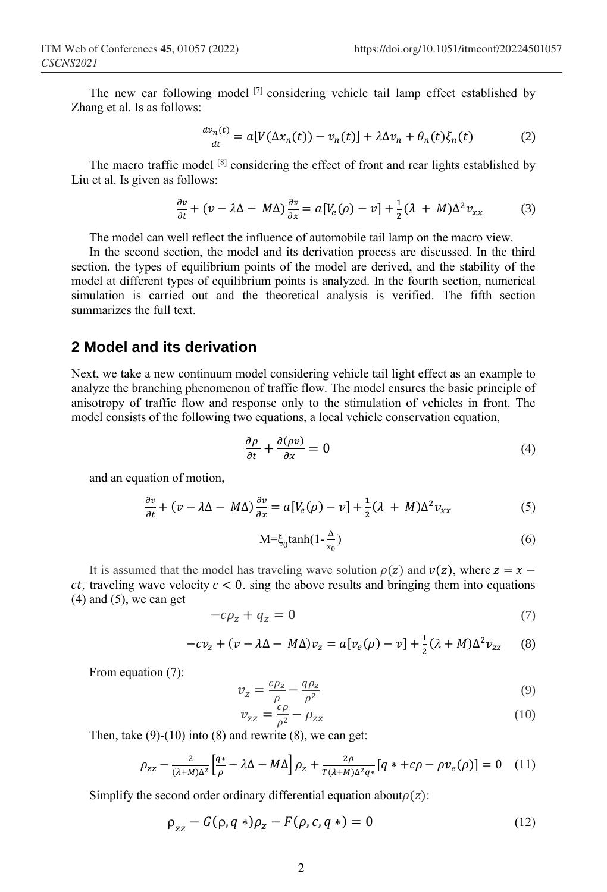The new car following model  $^{[7]}$  considering vehicle tail lamp effect established by Zhang et al. Is as follows:

$$
\frac{dv_n(t)}{dt} = a[V(\Delta x_n(t)) - v_n(t)] + \lambda \Delta v_n + \theta_n(t)\xi_n(t) \tag{2}
$$

The macro traffic model <sup>[8]</sup> considering the effect of front and rear lights established by Liu et al. Is given as follows:

$$
\frac{\partial v}{\partial t} + (v - \lambda \Delta - M\Delta) \frac{\partial v}{\partial x} = a[V_e(\rho) - v] + \frac{1}{2}(\lambda + M)\Delta^2 v_{xx}
$$
 (3)

The model can well reflect the influence of automobile tail lamp on the macro view.

In the second section, the model and its derivation process are discussed. In the third section, the types of equilibrium points of the model are derived, and the stability of the model at different types of equilibrium points is analyzed. In the fourth section, numerical simulation is carried out and the theoretical analysis is verified. The fifth section summarizes the full text.

#### **2 Model and its derivation**

Next, we take a new continuum model considering vehicle tail light effect as an example to analyze the branching phenomenon of traffic flow. The model ensures the basic principle of anisotropy of traffic flow and response only to the stimulation of vehicles in front. The model consists of the following two equations, a local vehicle conservation equation,

$$
\frac{\partial \rho}{\partial t} + \frac{\partial (\rho v)}{\partial x} = 0 \tag{4}
$$

and an equation of motion,

$$
\frac{\partial v}{\partial t} + (v - \lambda \Delta - M\Delta) \frac{\partial v}{\partial x} = a[V_e(\rho) - v] + \frac{1}{2}(\lambda + M)\Delta^2 v_{xx}
$$
 (5)

$$
M = \xi_0 \tanh(1 - \frac{\Delta}{x_0})
$$
 (6)

It is assumed that the model has traveling wave solution  $\rho(z)$  and  $v(z)$ , where  $z = x$ *ct*, traveling wave velocity  $c < 0$ , sing the above results and bringing them into equations  $(4)$  and  $(5)$ , we can get

$$
-c\rho_z + q_z = 0 \tag{7}
$$

$$
-cv_z + (v - \lambda \Delta - M\Delta)v_z = a[v_e(\rho) - v] + \frac{1}{2}(\lambda + M)\Delta^2 v_{zz}
$$
 (8)

From equation (7):

$$
v_z = \frac{c\rho_z}{\rho} - \frac{q\rho_z}{\rho^2} \tag{9}
$$

$$
v_{zz} = \frac{c\rho}{\rho^2} - \rho_{zz} \tag{10}
$$

Then, take  $(9)-(10)$  into  $(8)$  and rewrite  $(8)$ , we can get:

$$
\rho_{zz} - \frac{2}{(\lambda + M)\Delta^2} \left[ \frac{q^*}{\rho} - \lambda \Delta - M\Delta \right] \rho_z + \frac{2\rho}{T(\lambda + M)\Delta^2 q^*} \left[ q^* + c\rho - \rho v_e(\rho) \right] = 0 \quad (11)
$$

Simplify the second order ordinary differential equation about  $\rho(z)$ :

$$
\rho_{zz} - G(\rho, q*)\rho_z - F(\rho, c, q*) = 0 \tag{12}
$$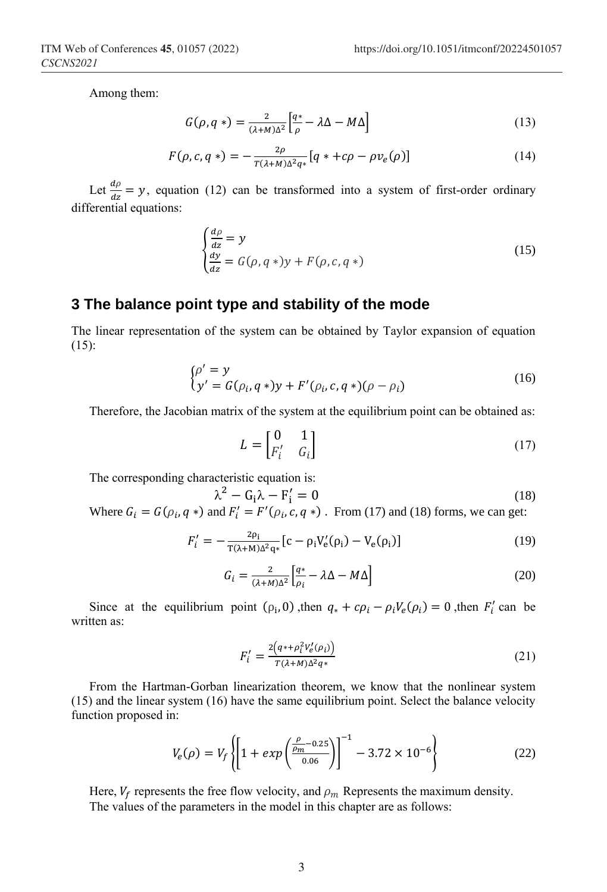Among them:

$$
G(\rho, q^*) = \frac{2}{(\lambda + M)\Delta^2} \left[ \frac{q^*}{\rho} - \lambda \Delta - M\Delta \right]
$$
 (13)

$$
F(\rho, c, q^*) = -\frac{2\rho}{T(\lambda + M)\Delta^2 q^*} [q^* + c\rho - \rho v_e(\rho)] \tag{14}
$$

Let  $\frac{d\rho}{dz} = y$ , equation (12) can be transformed into a system of first-order ordinary differential equations:

$$
\begin{cases}\n\frac{d\rho}{dz} = y \\
\frac{dy}{dz} = G(\rho, q*)y + F(\rho, c, q*)\n\end{cases}
$$
\n(15)

## **3 The balance point type and stability of the mode**

The linear representation of the system can be obtained by Taylor expansion of equation (15):

$$
\begin{cases} \rho' = y \\ y' = G(\rho_i, q*)y + F'(\rho_i, c, q*) (\rho - \rho_i) \end{cases}
$$
 (16)

Therefore, the Jacobian matrix of the system at the equilibrium point can be obtained as:

$$
L = \begin{bmatrix} 0 & 1 \\ F'_i & G_i \end{bmatrix} \tag{17}
$$

The corresponding characteristic equation is:

 $\lambda$ 

$$
t^2 - G_1 \lambda - F_1' = 0 \tag{18}
$$

Where  $G_i = G(\rho_i, q*)$  and  $F'_i = F'(\rho_i, c, q*)$ . From (17) and (18) forms, we can get:

$$
F'_{i} = -\frac{2\rho_{i}}{T(\lambda + M)\Delta^{2}q_{*}} [c - \rho_{i}V'_{e}(\rho_{i}) - V_{e}(\rho_{i})]
$$
(19)

$$
G_i = \frac{2}{(\lambda + M)\Delta^2} \left[ \frac{q*}{\rho_i} - \lambda \Delta - M\Delta \right]
$$
 (20)

Since at the equilibrium point  $(\rho_i, 0)$ , then  $q_* + c\rho_i - \rho_i V_e(\rho_i) = 0$ , then  $F'_i$  can be written as:

$$
F_i' = \frac{2\left(q * + \rho_i^2 V_e'(\rho_i)\right)}{T(\lambda + M)\Delta^2 q^*}
$$
\n<sup>(21)</sup>

From the Hartman-Gorban linearization theorem, we know that the nonlinear system (15) and the linear system (16) have the same equilibrium point. Select the balance velocity function proposed in:

$$
V_e(\rho) = V_f \left\{ \left[ 1 + exp\left( \frac{\rho_m - 0.25}{0.06} \right) \right]^{-1} - 3.72 \times 10^{-6} \right\} \tag{22}
$$

Here,  $V_f$  represents the free flow velocity, and  $\rho_m$  Represents the maximum density. The values of the parameters in the model in this chapter are as follows: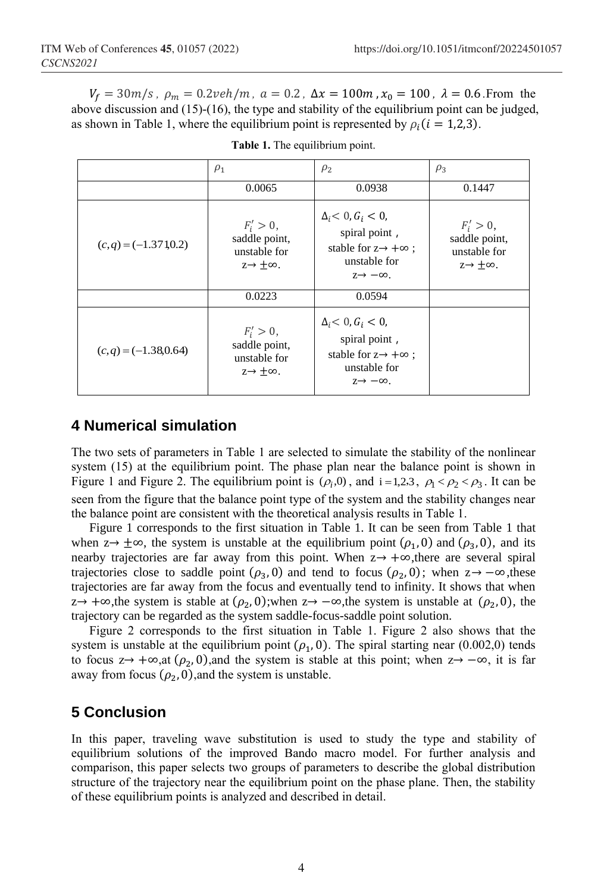$V_f = 30m/s$ ,  $\rho_m = 0.2 \nu e h/m$ ,  $a = 0.2$ ,  $\Delta x = 100m$ ,  $x_0 = 100$ ,  $\lambda = 0.6$ . From the above discussion and (15)-(16), the type and stability of the equilibrium point can be judged, as shown in Table 1, where the equilibrium point is represented by  $\rho_i$  ( $i = 1,2,3$ ).

|                        | $\rho_1$                                                                   | $\rho_2$                                                                                                                         | $\rho_3$                                                                   |
|------------------------|----------------------------------------------------------------------------|----------------------------------------------------------------------------------------------------------------------------------|----------------------------------------------------------------------------|
|                        | 0.0065                                                                     | 0.0938                                                                                                                           | 0.1447                                                                     |
| $(c,q) = (-1.371,0.2)$ | $F'_i > 0$ ,<br>saddle point,<br>unstable for<br>$z \rightarrow +\infty$ . | $\Delta_i < 0, G_i < 0,$<br>spiral point,<br>stable for $z \rightarrow +\infty$ :<br>unstable for<br>$z \rightarrow -\infty$ .   | $F'_i > 0$ ,<br>saddle point,<br>unstable for<br>$z \rightarrow +\infty$ . |
|                        | 0.0223                                                                     | 0.0594                                                                                                                           |                                                                            |
| $(c,q) = (-1.38,0.64)$ | $F'_i > 0$ ,<br>saddle point,<br>unstable for<br>$z \rightarrow +\infty$ . | $\Delta_i$ < 0, $G_i$ < 0,<br>spiral point,<br>stable for $z \rightarrow +\infty$ ;<br>unstable for<br>$z \rightarrow -\infty$ . |                                                                            |

**Table 1.** The equilibrium point.

### **4 Numerical simulation**

The two sets of parameters in Table 1 are selected to simulate the stability of the nonlinear system (15) at the equilibrium point. The phase plan near the balance point is shown in Figure 1 and Figure 2. The equilibrium point is  $(\rho_i, 0)$ , and  $i = 1,2,3$ ,  $\rho_1 < \rho_2 < \rho_3$ . It can be seen from the figure that the balance point type of the system and the stability changes near the balance point are consistent with the theoretical analysis results in Table 1.

Figure 1 corresponds to the first situation in Table 1. It can be seen from Table 1 that when  $z \rightarrow \pm \infty$ , the system is unstable at the equilibrium point  $(\rho_1, 0)$  and  $(\rho_3, 0)$ , and its nearby trajectories are far away from this point. When z→ +∞,there are several spiral trajectories close to saddle point  $(\rho_3, 0)$  and tend to focus  $(\rho_2, 0)$ ; when  $z \to -\infty$ , these trajectories are far away from the focus and eventually tend to infinity. It shows that when  $z \rightarrow +\infty$ , the system is stable at  $(\rho_2, 0)$ ; when  $z \rightarrow -\infty$ , the system is unstable at  $(\rho_2, 0)$ , the trajectory can be regarded as the system saddle-focus-saddle point solution.

Figure 2 corresponds to the first situation in Table 1. Figure 2 also shows that the system is unstable at the equilibrium point  $(\rho_1, 0)$ . The spiral starting near (0.002,0) tends to focus  $z \rightarrow +\infty$ ,at  $(\rho_2, 0)$ ,and the system is stable at this point; when  $z \rightarrow -\infty$ , it is far away from focus  $(\rho_2, 0)$ , and the system is unstable.

## **5 Conclusion**

In this paper, traveling wave substitution is used to study the type and stability of equilibrium solutions of the improved Bando macro model. For further analysis and comparison, this paper selects two groups of parameters to describe the global distribution structure of the trajectory near the equilibrium point on the phase plane. Then, the stability of these equilibrium points is analyzed and described in detail.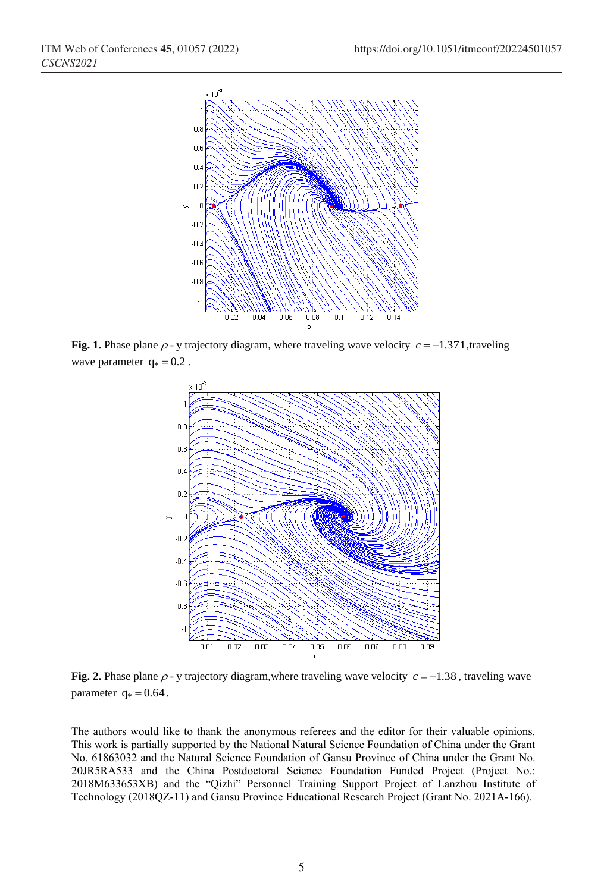

**Fig. 1.** Phase plane  $\rho$ -y trajectory diagram, where traveling wave velocity  $c = -1.371$ , traveling wave parameter  $q_* = 0.2$ .



**Fig. 2.** Phase plane  $\rho$ -y trajectory diagram, where traveling wave velocity  $c = -1.38$ , traveling wave parameter  $q_* = 0.64$ .

The authors would like to thank the anonymous referees and the editor for their valuable opinions. This work is partially supported by the National Natural Science Foundation of China under the Grant No. 61863032 and the Natural Science Foundation of Gansu Province of China under the Grant No. 20JR5RA533 and the China Postdoctoral Science Foundation Funded Project (Project No.: 2018M633653XB) and the "Qizhi" Personnel Training Support Project of Lanzhou Institute of Technology (2018QZ-11) and Gansu Province Educational Research Project (Grant No. 2021A-166).